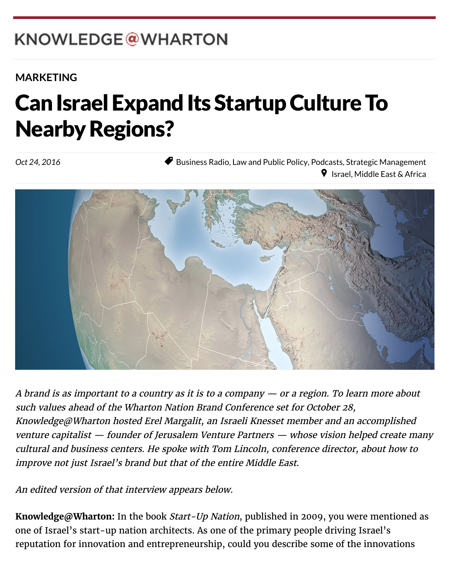# KNOWLEDGE@WHARTON

 $W_{\rm eff}$  which is the Pennsylvanian of  $P_{\rm eff}$ 

#### **[MARKETING](http://knowledge.wharton.upenn.edu/topic/marketing/)**

#### $\blacktriangleright$ Can Israel Expand Its Startup Culture To **Nearby Regions?**

Oct 24, 2016

◆ [Business Radio,](http://knowledge.wharton.upenn.edu/category/business-radio/) [Law and Public Policy,](http://knowledge.wharton.upenn.edu/category/law-and-public-policy/) [Podcasts,](http://knowledge.wharton.upenn.edu/category/podcasts/) [Strategic Management](http://knowledge.wharton.upenn.edu/category/strategic-management/)  $\triangledown$  [Israel,](http://knowledge.wharton.upenn.edu/region/israel/) [Middle East & Africa](http://knowledge.wharton.upenn.edu/region/middle-east-africa/)



A brand is as important to a country as it is to a company — or a region. To learn more about such values ahead of the [Wharton Nation Brand Conference](http://www.whartonnationbrandconference.com/) set for October 28, Knowledge@Wharton hosted Erel Margalit, an Israeli Knesset member and an accomplished venture capitalist — founder of Jerusalem Venture Partners — whose vision helped create many cultural and business centers. He spoke with Tom Lincoln, conference director, about how to improve not just Israel's brand but that of the entire Middle East.

An edited version of that interview appears below.

**Knowledge@Wharton:** In the book Start-Up Nation, published in 2009, you were mentioned as one of Israel's start-up nation architects. As one of the primary people driving Israel's reputation for innovation and entrepreneurship, could you describe some of the innovations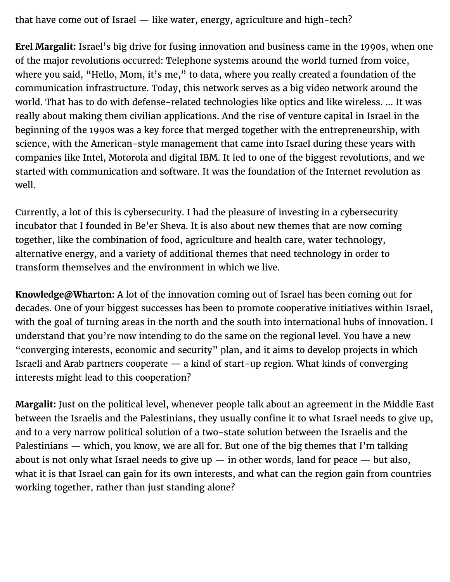that have come out of Israel — like water, energy, agriculture and high-tech?

**Erel Margalit:** Israel's big drive for fusing innovation and business came in the 1990s, when one of the major revolutions occurred: Telephone systems around the world turned from voice, where you said, "Hello, Mom, it's me," to data, where you really created a foundation of the communication infrastructure. Today, this network serves as a big video network around the world. That has to do with defense-related technologies like optics and like wireless. … It was really about making them civilian applications. And the rise of venture capital in Israel in the beginning of the 1990s was a key force that merged together with the entrepreneurship, with science, with the American-style management that came into Israel during these years with companies like Intel, Motorola and digital IBM. It led to one of the biggest revolutions, and we started with communication and software. It was the foundation of the Internet revolution as well.

Currently, a lot of this is cybersecurity. I had the pleasure of investing in a cybersecurity incubator that I founded in Be'er Sheva. It is also about new themes that are now coming together, like the combination of food, agriculture and health care, water technology, alternative energy, and a variety of additional themes that need technology in order to transform themselves and the environment in which we live.

**Knowledge@Wharton:** A lot of the innovation coming out of Israel has been coming out for decades. One of your biggest successes has been to promote cooperative initiatives within Israel, with the goal of turning areas in the north and the south into international hubs of innovation. I understand that you're now intending to do the same on the regional level. You have a new "converging interests, economic and security" plan, and it aims to develop projects in which Israeli and Arab partners cooperate — a kind of start-up region. What kinds of converging interests might lead to this cooperation?

**Margalit:** Just on the political level, whenever people talk about an agreement in the Middle East between the Israelis and the Palestinians, they usually confine it to what Israel needs to give up, and to a very narrow political solution of a two-state solution between the Israelis and the Palestinians — which, you know, we are all for. But one of the big themes that I'm talking about is not only what Israel needs to give up  $-$  in other words, land for peace  $-$  but also, what it is that Israel can gain for its own interests, and what can the region gain from countries working together, rather than just standing alone?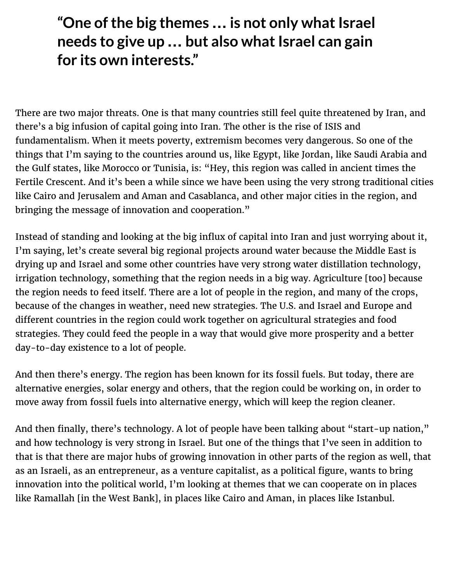### **"One of the big themes … is not only what Israel needs to give up … but also what Israel can gain for its own interests."**

There are two major threats. One is that many countries still feel quite threatened by Iran, and there's a big infusion of capital going into Iran. The other is the rise of ISIS and fundamentalism. When it meets poverty, extremism becomes very dangerous. So one of the things that I'm saying to the countries around us, like Egypt, like Jordan, like Saudi Arabia and the Gulf states, like Morocco or Tunisia, is: "Hey, this region was called in ancient times the Fertile Crescent. And it's been a while since we have been using the very strong traditional cities like Cairo and Jerusalem and Aman and Casablanca, and other major cities in the region, and bringing the message of innovation and cooperation."

Instead of standing and looking at the big influx of capital into Iran and just worrying about it, I'm saying, let's create several big regional projects around water because the Middle East is drying up and Israel and some other countries have very strong water distillation technology, irrigation technology, something that the region needs in a big way. Agriculture [too] because the region needs to feed itself. There are a lot of people in the region, and many of the crops, because of the changes in weather, need new strategies. The U.S. and Israel and Europe and different countries in the region could work together on agricultural strategies and food strategies. They could feed the people in a way that would give more prosperity and a better day-to-day existence to a lot of people.

And then there's energy. The region has been known for its fossil fuels. But today, there are alternative energies, solar energy and others, that the region could be working on, in order to move away from fossil fuels into alternative energy, which will keep the region cleaner.

And then finally, there's technology. A lot of people have been talking about "start-up nation," and how technology is very strong in Israel. But one of the things that I've seen in addition to that is that there are major hubs of growing innovation in other parts of the region as well, that as an Israeli, as an entrepreneur, as a venture capitalist, as a political figure, wants to bring innovation into the political world, I'm looking at themes that we can cooperate on in places like Ramallah [in the West Bank], in places like Cairo and Aman, in places like Istanbul.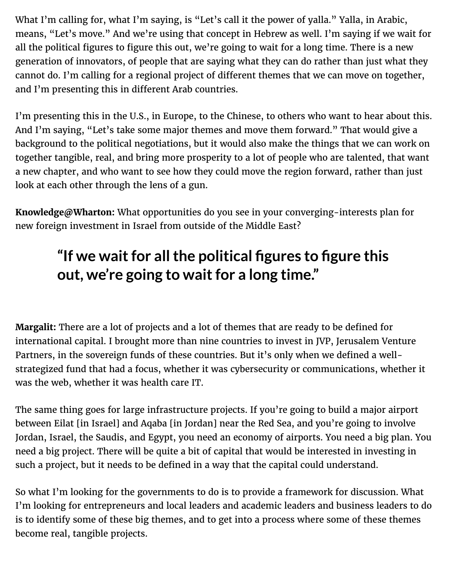What I'm calling for, what I'm saying, is "Let's call it the power of yalla." Yalla, in Arabic, means, "Let's move." And we're using that concept in Hebrew as well. I'm saying if we wait for all the political figures to figure this out, we're going to wait for a long time. There is a new generation of innovators, of people that are saying what they can do rather than just what they cannot do. I'm calling for a regional project of different themes that we can move on together, and I'm presenting this in different Arab countries.

I'm presenting this in the U.S., in Europe, to the Chinese, to others who want to hear about this. And I'm saying, "Let's take some major themes and move them forward." That would give a background to the political negotiations, but it would also make the things that we can work on together tangible, real, and bring more prosperity to a lot of people who are talented, that want a new chapter, and who want to see how they could move the region forward, rather than just look at each other through the lens of a gun.

**Knowledge@Wharton:** What opportunities do you see in your converging-interests plan for new foreign investment in Israel from outside of the Middle East?

## **"If we wait for all the political figures to figure this out, we're going to wait for a long time."**

**Margalit:** There are a lot of projects and a lot of themes that are ready to be defined for international capital. I brought more than nine countries to invest in JVP, Jerusalem Venture Partners, in the sovereign funds of these countries. But it's only when we defined a wellstrategized fund that had a focus, whether it was cybersecurity or communications, whether it was the web, whether it was health care IT.

The same thing goes for large infrastructure projects. If you're going to build a major airport between Eilat [in Israel] and Aqaba [in Jordan] near the Red Sea, and you're going to involve Jordan, Israel, the Saudis, and Egypt, you need an economy of airports. You need a big plan. You need a big project. There will be quite a bit of capital that would be interested in investing in such a project, but it needs to be defined in a way that the capital could understand.

So what I'm looking for the governments to do is to provide a framework for discussion. What I'm looking for entrepreneurs and local leaders and academic leaders and business leaders to do is to identify some of these big themes, and to get into a process where some of these themes become real, tangible projects.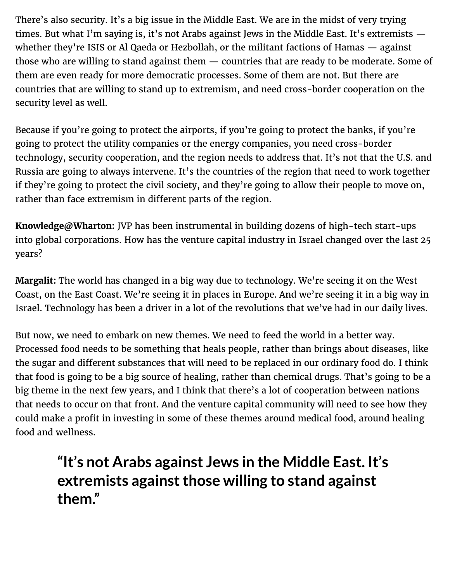There's also security. It's a big issue in the Middle East. We are in the midst of very trying times. But what I'm saying is, it's not Arabs against Jews in the Middle East. It's extremists whether they're ISIS or Al Qaeda or Hezbollah, or the militant factions of Hamas — against those who are willing to stand against them — countries that are ready to be moderate. Some of them are even ready for more democratic processes. Some of them are not. But there are countries that are willing to stand up to extremism, and need cross-border cooperation on the security level as well.

Because if you're going to protect the airports, if you're going to protect the banks, if you're going to protect the utility companies or the energy companies, you need cross-border technology, security cooperation, and the region needs to address that. It's not that the U.S. and Russia are going to always intervene. It's the countries of the region that need to work together if they're going to protect the civil society, and they're going to allow their people to move on, rather than face extremism in different parts of the region.

**Knowledge@Wharton:** JVP has been instrumental in building dozens of high-tech start-ups into global corporations. How has the venture capital industry in Israel changed over the last 25 years?

**Margalit:** The world has changed in a big way due to technology. We're seeing it on the West Coast, on the East Coast. We're seeing it in places in Europe. And we're seeing it in a big way in Israel. Technology has been a driver in a lot of the revolutions that we've had in our daily lives.

But now, we need to embark on new themes. We need to feed the world in a better way. Processed food needs to be something that heals people, rather than brings about diseases, like the sugar and different substances that will need to be replaced in our ordinary food do. I think that food is going to be a big source of healing, rather than chemical drugs. That's going to be a big theme in the next few years, and I think that there's a lot of cooperation between nations that needs to occur on that front. And the venture capital community will need to see how they could make a profit in investing in some of these themes around medical food, around healing food and wellness.

## **"It's not Arabs against Jews in the Middle East. It's extremists against those willing to stand against them."**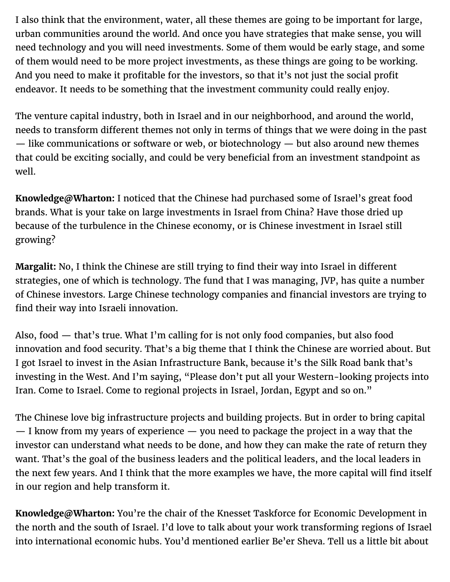I also think that the environment, water, all these themes are going to be important for large, urban communities around the world. And once you have strategies that make sense, you will need technology and you will need investments. Some of them would be early stage, and some of them would need to be more project investments, as these things are going to be working. And you need to make it profitable for the investors, so that it's not just the social profit endeavor. It needs to be something that the investment community could really enjoy.

The venture capital industry, both in Israel and in our neighborhood, and around the world, needs to transform different themes not only in terms of things that we were doing in the past — like communications or software or web, or biotechnology — but also around new themes that could be exciting socially, and could be very beneficial from an investment standpoint as well.

**Knowledge@Wharton:** I noticed that the Chinese had purchased some of Israel's great food brands. What is your take on large investments in Israel from China? Have those dried up because of the turbulence in the Chinese economy, or is Chinese investment in Israel still growing?

**Margalit:** No, I think the Chinese are still trying to find their way into Israel in different strategies, one of which is technology. The fund that I was managing, JVP, has quite a number of Chinese investors. Large Chinese technology companies and financial investors are trying to find their way into Israeli innovation.

Also, food — that's true. What I'm calling for is not only food companies, but also food innovation and food security. That's a big theme that I think the Chinese are worried about. But I got Israel to invest in the Asian Infrastructure Bank, because it's the Silk Road bank that's investing in the West. And I'm saying, "Please don't put all your Western-looking projects into Iran. Come to Israel. Come to regional projects in Israel, Jordan, Egypt and so on."

The Chinese love big infrastructure projects and building projects. But in order to bring capital — I know from my years of experience — you need to package the project in a way that the investor can understand what needs to be done, and how they can make the rate of return they want. That's the goal of the business leaders and the political leaders, and the local leaders in the next few years. And I think that the more examples we have, the more capital will find itself in our region and help transform it.

**Knowledge@Wharton:** You're the chair of the Knesset Taskforce for Economic Development in the north and the south of Israel. I'd love to talk about your work transforming regions of Israel into international economic hubs. You'd mentioned earlier Be'er Sheva. Tell us a little bit about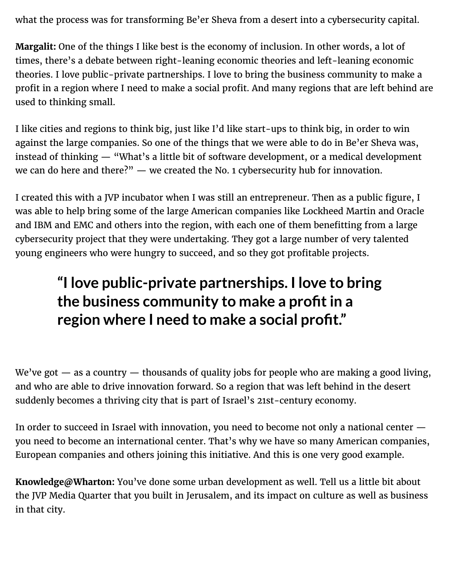what the process was for transforming Be'er Sheva from a desert into a cybersecurity capital.

**Margalit:** One of the things I like best is the economy of inclusion. In other words, a lot of times, there's a debate between right-leaning economic theories and left-leaning economic theories. I love public-private partnerships. I love to bring the business community to make a profit in a region where I need to make a social profit. And many regions that are left behind are used to thinking small.

I like cities and regions to think big, just like I'd like start-ups to think big, in order to win against the large companies. So one of the things that we were able to do in Be'er Sheva was, instead of thinking — "What's a little bit of software development, or a medical development we can do here and there?" — we created the No. 1 cybersecurity hub for innovation.

I created this with a JVP incubator when I was still an entrepreneur. Then as a public figure, I was able to help bring some of the large American companies like Lockheed Martin and Oracle and IBM and EMC and others into the region, with each one of them benefitting from a large cybersecurity project that they were undertaking. They got a large number of very talented young engineers who were hungry to succeed, and so they got profitable projects.

## **"I love public-private partnerships. I love to bring the business community to make a profit in a region where I need to make a social profit."**

We've got  $-$  as a country  $-$  thousands of quality jobs for people who are making a good living, and who are able to drive innovation forward. So a region that was left behind in the desert suddenly becomes a thriving city that is part of Israel's 21st-century economy.

In order to succeed in Israel with innovation, you need to become not only a national center you need to become an international center. That's why we have so many American companies, European companies and others joining this initiative. And this is one very good example.

**Knowledge@Wharton:** You've done some urban development as well. Tell us a little bit about the JVP Media Quarter that you built in Jerusalem, and its impact on culture as well as business in that city.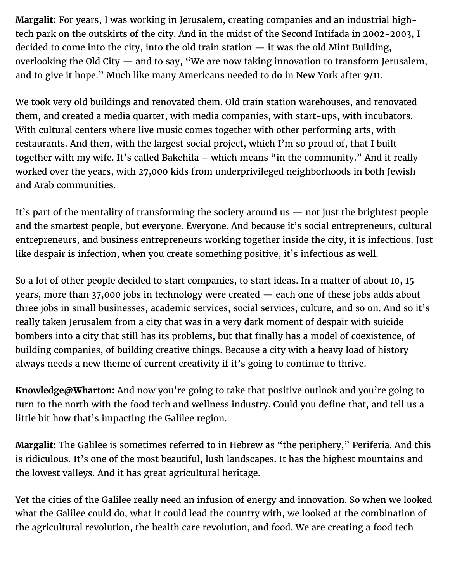**Margalit:** For years, I was working in Jerusalem, creating companies and an industrial hightech park on the outskirts of the city. And in the midst of the Second Intifada in 2002-2003, I decided to come into the city, into the old train station — it was the old Mint Building, overlooking the Old City — and to say, "We are now taking innovation to transform Jerusalem, and to give it hope." Much like many Americans needed to do in New York after 9/11.

We took very old buildings and renovated them. Old train station warehouses, and renovated them, and created a media quarter, with media companies, with start-ups, with incubators. With cultural centers where live music comes together with other performing arts, with restaurants. And then, with the largest social project, which I'm so proud of, that I built together with my wife. It's called Bakehila – which means "in the community." And it really worked over the years, with 27,000 kids from underprivileged neighborhoods in both Jewish and Arab communities.

It's part of the mentality of transforming the society around us — not just the brightest people and the smartest people, but everyone. Everyone. And because it's social entrepreneurs, cultural entrepreneurs, and business entrepreneurs working together inside the city, it is infectious. Just like despair is infection, when you create something positive, it's infectious as well.

So a lot of other people decided to start companies, to start ideas. In a matter of about 10, 15 years, more than 37,000 jobs in technology were created — each one of these jobs adds about three jobs in small businesses, academic services, social services, culture, and so on. And so it's really taken Jerusalem from a city that was in a very dark moment of despair with suicide bombers into a city that still has its problems, but that finally has a model of coexistence, of building companies, of building creative things. Because a city with a heavy load of history always needs a new theme of current creativity if it's going to continue to thrive.

**Knowledge@Wharton:** And now you're going to take that positive outlook and you're going to turn to the north with the food tech and wellness industry. Could you define that, and tell us a little bit how that's impacting the Galilee region.

**Margalit:** The Galilee is sometimes referred to in Hebrew as "the periphery," Periferia. And this is ridiculous. It's one of the most beautiful, lush landscapes. It has the highest mountains and the lowest valleys. And it has great agricultural heritage.

Yet the cities of the Galilee really need an infusion of energy and innovation. So when we looked what the Galilee could do, what it could lead the country with, we looked at the combination of the agricultural revolution, the health care revolution, and food. We are creating a food tech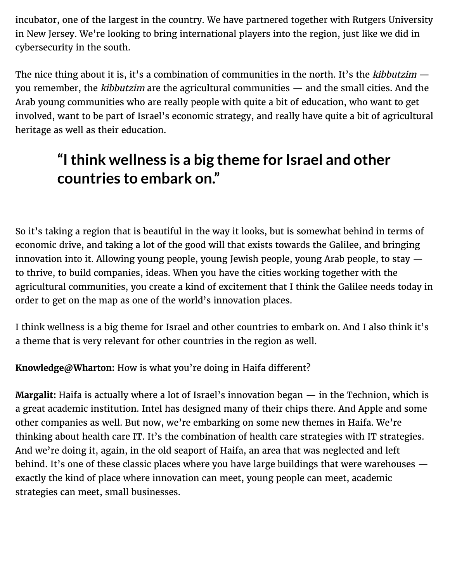incubator, one of the largest in the country. We have partnered together with Rutgers University in New Jersey. We're looking to bring international players into the region, just like we did in cybersecurity in the south.

The nice thing about it is, it's a combination of communities in the north. It's the *kibbutzim*  $$ you remember, the kibbutzim are the agricultural communities — and the small cities. And the Arab young communities who are really people with quite a bit of education, who want to get involved, want to be part of Israel's economic strategy, and really have quite a bit of agricultural heritage as well as their education.

## **"I think wellness is a big theme for Israel and other countries to embark on."**

So it's taking a region that is beautiful in the way it looks, but is somewhat behind in terms of economic drive, and taking a lot of the good will that exists towards the Galilee, and bringing innovation into it. Allowing young people, young Jewish people, young Arab people, to stay to thrive, to build companies, ideas. When you have the cities working together with the agricultural communities, you create a kind of excitement that I think the Galilee needs today in order to get on the map as one of the world's innovation places.

I think wellness is a big theme for Israel and other countries to embark on. And I also think it's a theme that is very relevant for other countries in the region as well.

Knowledge@Wharton: How is what you're doing in Haifa different?

**Margalit:** Haifa is actually where a lot of Israel's innovation began — in the Technion, which is a great academic institution. Intel has designed many of their chips there. And Apple and some other companies as well. But now, we're embarking on some new themes in Haifa. We're thinking about health care IT. It's the combination of health care strategies with IT strategies. And we're doing it, again, in the old seaport of Haifa, an area that was neglected and left behind. It's one of these classic places where you have large buildings that were warehouses exactly the kind of place where innovation can meet, young people can meet, academic strategies can meet, small businesses.